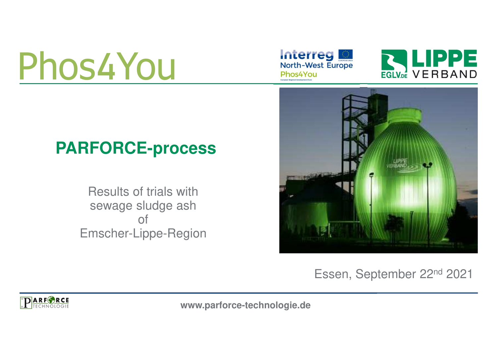# Phos4You





# **PARFORCE-process**

Results of trials with sewage sludge ash of Emscher-Lippe-Region



Essen, September 22nd 2021



**www.parforce-technologie.de**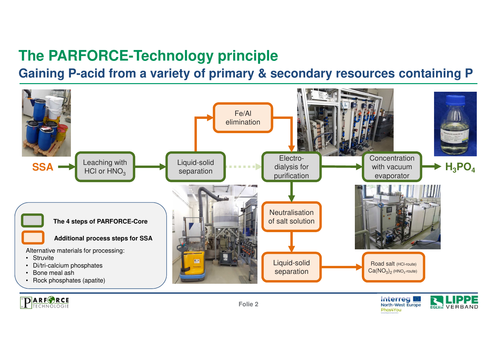# **The PARFORCE-Technology principle**

**Gaining P-acid from a variety of primary & secondary resources containing P**





**Interreg** North-West Europe

Phos4You

**EGLV.DE VERBAND**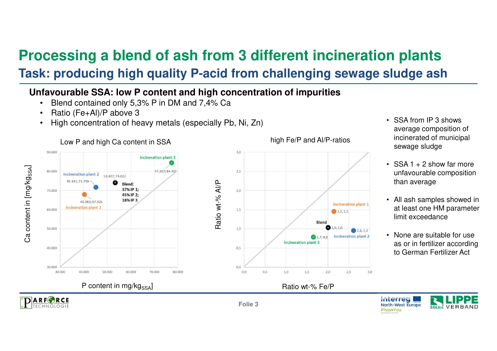# **Processing a blend of ash from 3 different incineration plants**

### **Task: producing high quality P-acid from challenging sewage sludge ash**

### **Unfavourable SSA: low P content and high concentration of impurities**

- •Blend contained only 5,3% P in DM and 7,4% Ca
- •Ratio (Fe+Al)/P above 3
- High concentration of heavy metals (especially Pb, Ni, Zn)•



### • SSA from IP 3 shows average composition of incinerated of municipal sewage sludge

- SSA 1 + 2 show far more unfavourable composition than average
- All ash samples showed in at least one HM parameter limit exceedance
- None are suitable for use as or in fertilizer according to German Fertilizer Act



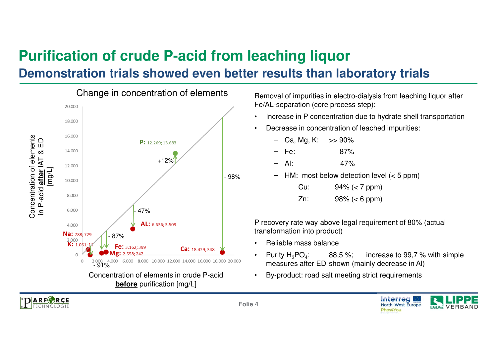## **Purification of crude P-acid from leaching liquor**

### **Demonstration trials showed even better results than laboratory trials**



 Removal of impurities in electro-dialysis from leaching liquor after Fe/AL-separation (core process step):

- •Increase in P concentration due to hydrate shell transportation
- • Decrease in concentration of leached impurities:
	- −Ca, Mg, K:  $\gg$  90%
	- Fe: 87% −
	- Al: 47%−
	- HM: most below detection level (< 5 ppm) −
		- Cu: 94% (< 7 ppm)
		- Zn: 98% (< 6 ppm)

P recovery rate way above legal requirement of 80% (actual transformation into product)

- •Reliable mass balance
- •Purity  $H_3PO_4$ : 88,5 %; increase to 99,7 % with simple measures after ED shown (mainly decrease in Al)
- •By-product: road salt meeting strict requirements



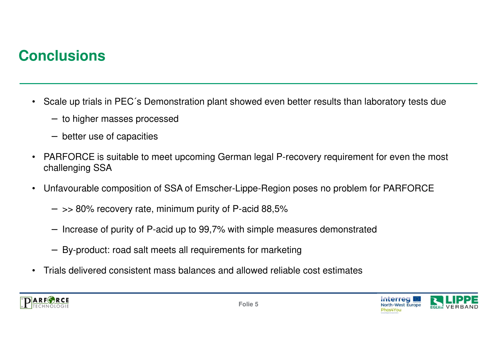## **Conclusions**

- Scale up trials in PEC´s Demonstration plant showed even better results than laboratory tests due
	- − to higher masses processed
	- − better use of capacities
- $\bullet$  PARFORCE is suitable to meet upcoming German legal P-recovery requirement for even the most challenging SSA
- • Unfavourable composition of SSA of Emscher-Lippe-Region poses no problem for PARFORCE
	- − >> 80% recovery rate, minimum purity of P-acid 88,5%
	- −Increase of purity of P-acid up to 99,7% with simple measures demonstrated
	- − By-product: road salt meets all requirements for marketing
- $\bullet$ Trials delivered consistent mass balances and allowed reliable cost estimates